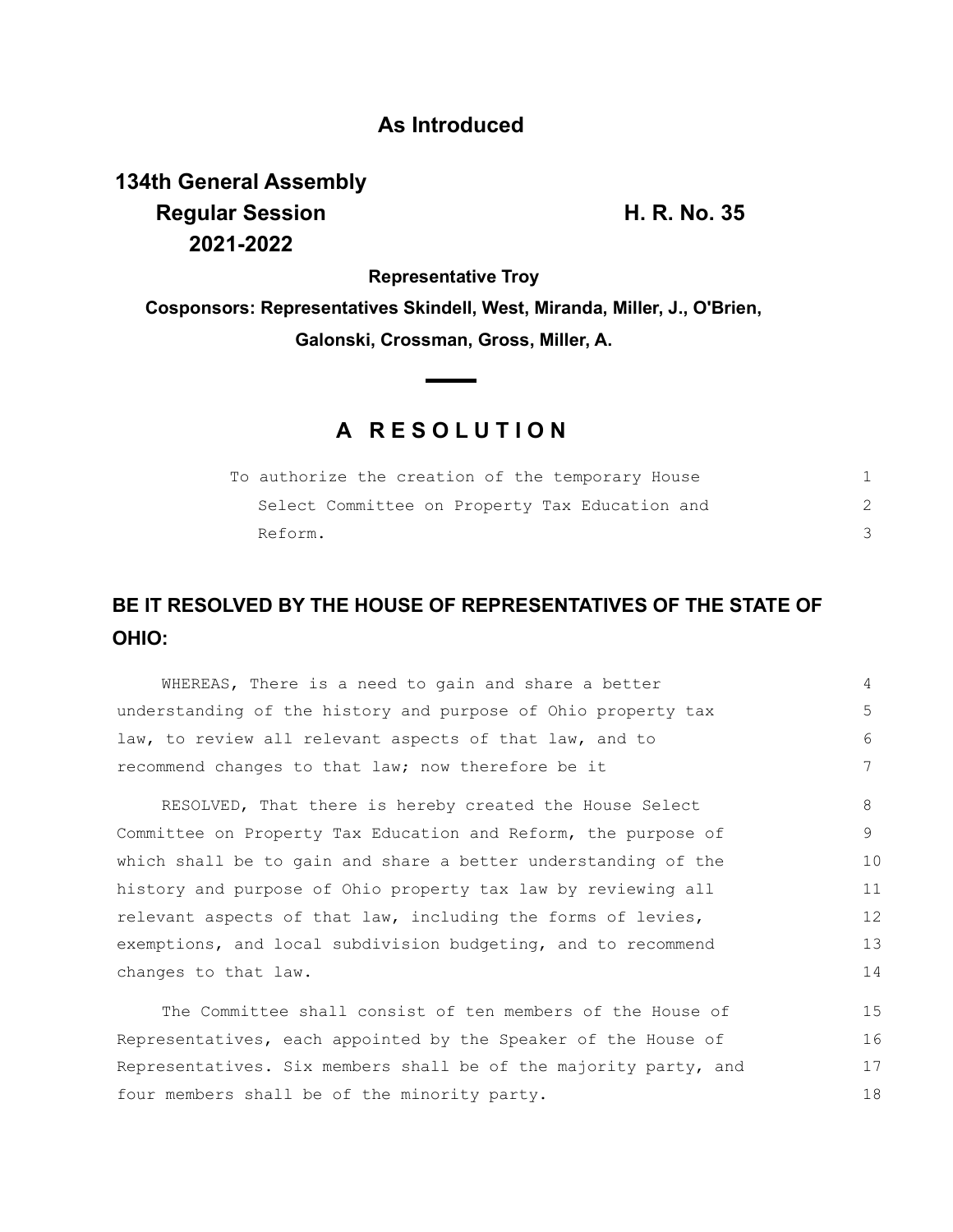## **As Introduced**

**134th General Assembly Regular Session H. R. No. 35 2021-2022**

**Representative Troy**

**Cosponsors: Representatives Skindell, West, Miranda, Miller, J., O'Brien, Galonski, Crossman, Gross, Miller, A.**

## **A R E S O L U T I O N**

| To authorize the creation of the temporary House |  |
|--------------------------------------------------|--|
| Select Committee on Property Tax Education and   |  |
| Reform.                                          |  |

## **BE IT RESOLVED BY THE HOUSE OF REPRESENTATIVES OF THE STATE OF OHIO:**

WHEREAS, There is a need to gain and share a better understanding of the history and purpose of Ohio property tax law, to review all relevant aspects of that law, and to recommend changes to that law; now therefore be it RESOLVED, That there is hereby created the House Select Committee on Property Tax Education and Reform, the purpose of which shall be to gain and share a better understanding of the history and purpose of Ohio property tax law by reviewing all relevant aspects of that law, including the forms of levies, exemptions, and local subdivision budgeting, and to recommend changes to that law. The Committee shall consist of ten members of the House of 4 5 6 7 8 9 10 11 12 13 14 15

Representatives, each appointed by the Speaker of the House of Representatives. Six members shall be of the majority party, and four members shall be of the minority party. 16 17 18